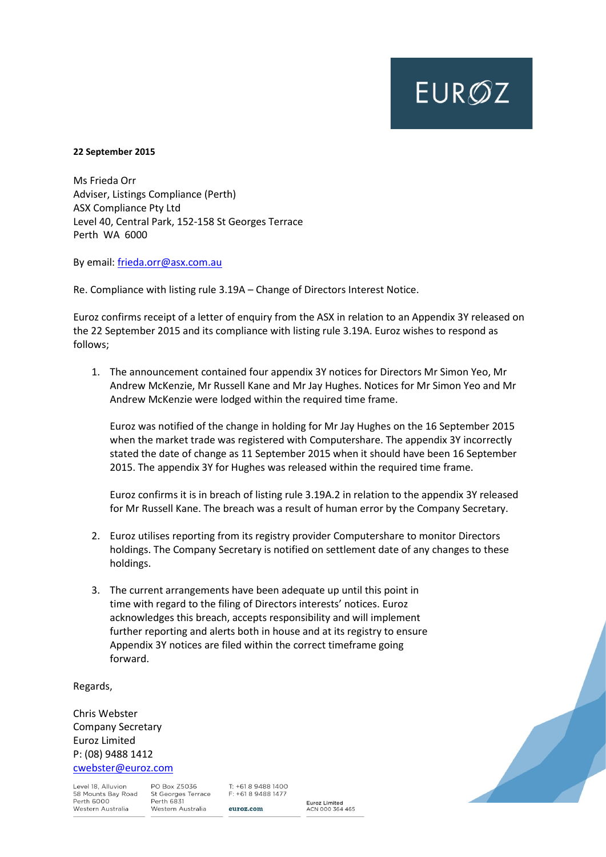## **EUROZ**

## **22 September 2015**

Ms Frieda Orr Adviser, Listings Compliance (Perth) ASX Compliance Pty Ltd Level 40, Central Park, 152-158 St Georges Terrace Perth WA 6000

By email: [frieda.orr@asx.com.au](mailto:frieda.orr@asx.com.au)

Re. Compliance with listing rule 3.19A – Change of Directors Interest Notice.

Euroz confirms receipt of a letter of enquiry from the ASX in relation to an Appendix 3Y released on the 22 September 2015 and its compliance with listing rule 3.19A. Euroz wishes to respond as follows;

1. The announcement contained four appendix 3Y notices for Directors Mr Simon Yeo, Mr Andrew McKenzie, Mr Russell Kane and Mr Jay Hughes. Notices for Mr Simon Yeo and Mr Andrew McKenzie were lodged within the required time frame.

Euroz was notified of the change in holding for Mr Jay Hughes on the 16 September 2015 when the market trade was registered with Computershare. The appendix 3Y incorrectly stated the date of change as 11 September 2015 when it should have been 16 September 2015. The appendix 3Y for Hughes was released within the required time frame.

Euroz confirms it is in breach of listing rule 3.19A.2 in relation to the appendix 3Y released for Mr Russell Kane. The breach was a result of human error by the Company Secretary.

- 2. Euroz utilises reporting from its registry provider Computershare to monitor Directors holdings. The Company Secretary is notified on settlement date of any changes to these holdings.
- 3. The current arrangements have been adequate up until this point in time with regard to the filing of Directors interests' notices. Euroz acknowledges this breach, accepts responsibility and will implement further reporting and alerts both in house and at its registry to ensure Appendix 3Y notices are filed within the correct timeframe going forward.

Regards,

Chris Webster Company Secretary Euroz Limited P: (08) 9488 1412 [cwebster@euroz.com](mailto:cwebster@euroz.com)

Level 18, Alluvion 58 Mounts Bay Road Perth 6000 Western Australia

PO Box Z5036 St Georges Terrace Perth 6831 Western Australia

 $T: +61894881400$ F: +61 8 9488 1477 euroz.com

Euroz Limited<br>ACN 000 364 465

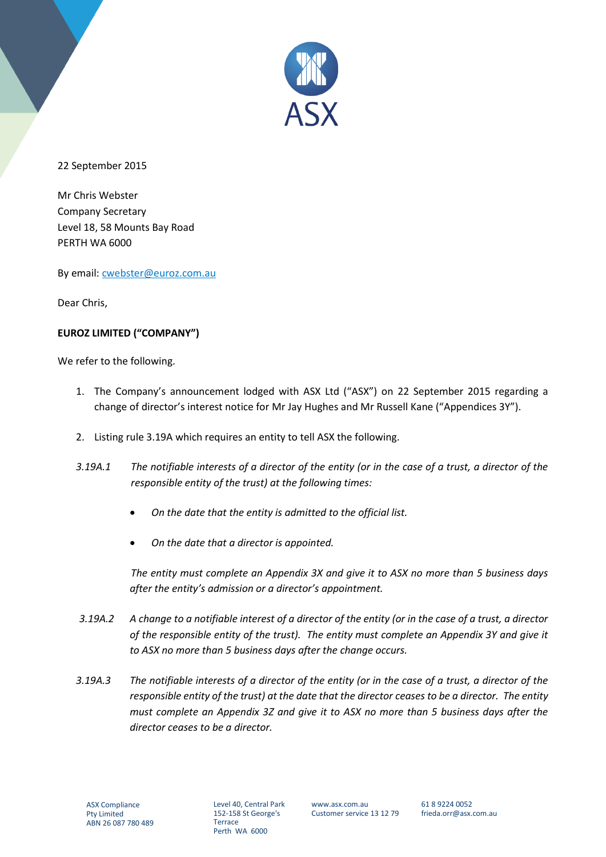

22 September 2015

Mr Chris Webster Company Secretary Level 18, 58 Mounts Bay Road PERTH WA 6000

By email: [cwebster@euroz.com.au](mailto:cwebster@euroz.com.au)

Dear Chris,

## **EUROZ LIMITED ("COMPANY")**

We refer to the following.

- 1. The Company's announcement lodged with ASX Ltd ("ASX") on 22 September 2015 regarding a change of director's interest notice for Mr Jay Hughes and Mr Russell Kane ("Appendices 3Y").
- 2. Listing rule 3.19A which requires an entity to tell ASX the following.
- *3.19A.1 The notifiable interests of a director of the entity (or in the case of a trust, a director of the responsible entity of the trust) at the following times:*
	- *On the date that the entity is admitted to the official list.*
	- *On the date that a director is appointed.*

*The entity must complete an Appendix 3X and give it to ASX no more than 5 business days after the entity's admission or a director's appointment.* 

- *3.19A.2 A change to a notifiable interest of a director of the entity (or in the case of a trust, a director of the responsible entity of the trust). The entity must complete an Appendix 3Y and give it to ASX no more than 5 business days after the change occurs.*
- *3.19A.3 The notifiable interests of a director of the entity (or in the case of a trust, a director of the responsible entity of the trust) at the date that the director ceases to be a director. The entity must complete an Appendix 3Z and give it to ASX no more than 5 business days after the director ceases to be a director.*

Level 40, Central Park 152-158 St George's **Terrace** Perth WA 6000

www.asx.com.au Customer service 13 12 79 61 8 9224 0052 frieda.orr@asx.com.au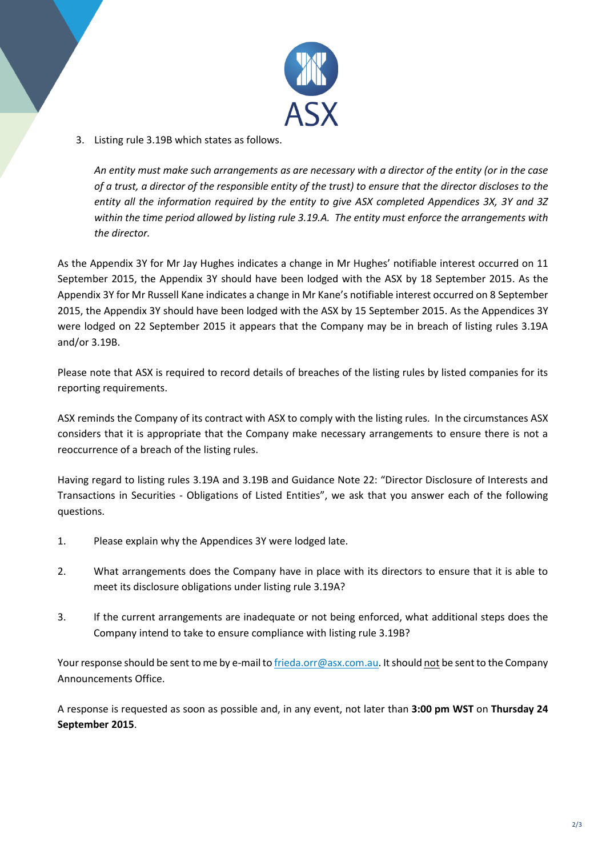

3. Listing rule 3.19B which states as follows.

*An entity must make such arrangements as are necessary with a director of the entity (or in the case of a trust, a director of the responsible entity of the trust) to ensure that the director discloses to the entity all the information required by the entity to give ASX completed Appendices 3X, 3Y and 3Z within the time period allowed by listing rule 3.19.A. The entity must enforce the arrangements with the director.*

As the Appendix 3Y for Mr Jay Hughes indicates a change in Mr Hughes' notifiable interest occurred on 11 September 2015, the Appendix 3Y should have been lodged with the ASX by 18 September 2015. As the Appendix 3Y for Mr Russell Kane indicates a change in Mr Kane's notifiable interest occurred on 8 September 2015, the Appendix 3Y should have been lodged with the ASX by 15 September 2015. As the Appendices 3Y were lodged on 22 September 2015 it appears that the Company may be in breach of listing rules 3.19A and/or 3.19B.

Please note that ASX is required to record details of breaches of the listing rules by listed companies for its reporting requirements.

ASX reminds the Company of its contract with ASX to comply with the listing rules. In the circumstances ASX considers that it is appropriate that the Company make necessary arrangements to ensure there is not a reoccurrence of a breach of the listing rules.

Having regard to listing rules 3.19A and 3.19B and Guidance Note 22: "Director Disclosure of Interests and Transactions in Securities - Obligations of Listed Entities", we ask that you answer each of the following questions.

- 1. Please explain why the Appendices 3Y were lodged late.
- 2. What arrangements does the Company have in place with its directors to ensure that it is able to meet its disclosure obligations under listing rule 3.19A?
- 3. If the current arrangements are inadequate or not being enforced, what additional steps does the Company intend to take to ensure compliance with listing rule 3.19B?

Your response should be sent to me by e-mail t[o frieda.orr@asx.com.au.](mailto:frieda.orr@asx.com.au) It should not be sent to the Company Announcements Office.

A response is requested as soon as possible and, in any event, not later than **3:00 pm WST** on **Thursday 24 September 2015**.